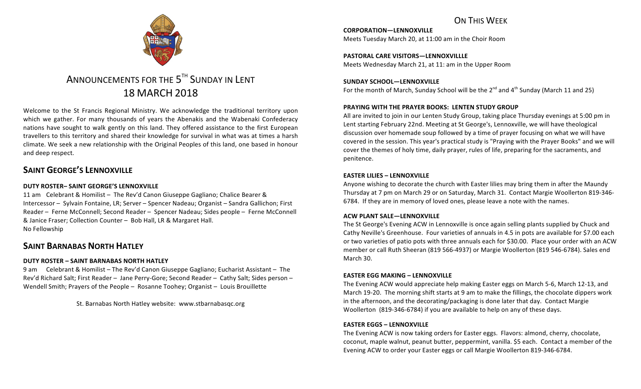# ON THIS WFFK

**CORPORATION—LENNOXVILLE** Meets Tuesday March 20, at 11:00 am in the Choir Room

**PASTORAL CARE VISITORS-LENNOXVILLLE** Meets Wednesday March 21, at 11: am in the Upper Room

#### SUNDAY SCHOOL-LENNOXVILLE For the month of March, Sunday School will be the  $2^{nd}$  and  $4^{th}$  Sunday (March 11 and 25)

# **PRAYING WITH THE PRAYER BOOKS: LENTEN STUDY GROUP**

All are invited to join in our Lenten Study Group, taking place Thursday evenings at 5:00 pm in Lent starting February 22nd. Meeting at St George's, Lennoxville, we will have theological discussion over homemade soup followed by a time of prayer focusing on what we will have covered in the session. This year's practical study is "Praying with the Prayer Books" and we will cover the themes of holy time, daily prayer, rules of life, preparing for the sacraments, and penitence.

### **EASTER LILIES - LENNOXVILLE**

Anyone wishing to decorate the church with Easter lilies may bring them in after the Maundy Thursday at 7 pm on March 29 or on Saturday, March 31. Contact Margie Woollerton 819-346-6784. If they are in memory of loved ones, please leave a note with the names.

#### **ACW PLANT SALE—LENNOXVILLE**

The St George's Evening ACW in Lennoxville is once again selling plants supplied by Chuck and Cathy Neville's Greenhouse. Four varieties of annuals in 4.5 in pots are available for \$7.00 each or two varieties of patio pots with three annuals each for \$30.00. Place your order with an ACW member or call Ruth Sheeran (819 566-4937) or Margie Woollerton (819 546-6784). Sales end March 30.

### **EASTER EGG MAKING – LENNOXVILLE**

The Evening ACW would appreciate help making Easter eggs on March 5-6, March 12-13, and March 19-20. The morning shift starts at 9 am to make the fillings, the chocolate dippers work in the afternoon, and the decorating/packaging is done later that day. Contact Margie Woollerton (819-346-6784) if you are available to help on any of these days.

#### **EASTER EGGS – LENNOXVILLE**

The Evening ACW is now taking orders for Easter eggs. Flavors: almond, cherry, chocolate, coconut, maple walnut, peanut butter, peppermint, vanilla. \$5 each. Contact a member of the Evening ACW to order your Easter eggs or call Margie Woollerton 819-346-6784.



# ANNOUNCEMENTS FOR THE  $5^{th}$  SUNDAY IN LENT 18 MARCH 2018

Welcome to the St Francis Regional Ministry. We acknowledge the traditional territory upon which we gather. For many thousands of years the Abenakis and the Wabenaki Confederacy nations have sought to walk gently on this land. They offered assistance to the first European travellers to this territory and shared their knowledge for survival in what was at times a harsh climate. We seek a new relationship with the Original Peoples of this land, one based in honour and deep respect.

# **SAINT GEORGE'S LENNOXVILLE**

# **DUTY ROSTER– SAINT GEORGE'S LENNOXVILLE**

11 am Celebrant & Homilist – The Rev'd Canon Giuseppe Gagliano; Chalice Bearer & Intercessor – Sylvain Fontaine, LR; Server – Spencer Nadeau; Organist – Sandra Gallichon; First Reader – Ferne McConnell; Second Reader – Spencer Nadeau; Sides people – Ferne McConnell & Janice Fraser; Collection Counter - Bob Hall, LR & Margaret Hall. No Fellowship

# **SAINT BARNABAS NORTH HATLEY**

# **DUTY ROSTER – SAINT BARNABAS NORTH HATLEY**

9 am Celebrant & Homilist – The Rev'd Canon Giuseppe Gagliano; Eucharist Assistant – The Rev'd Richard Salt; First Reader - Jane Perry-Gore; Second Reader - Cathy Salt; Sides person -Wendell Smith; Prayers of the People - Rosanne Toohey; Organist - Louis Brouillette

St. Barnabas North Hatley website: www.stbarnabasqc.org